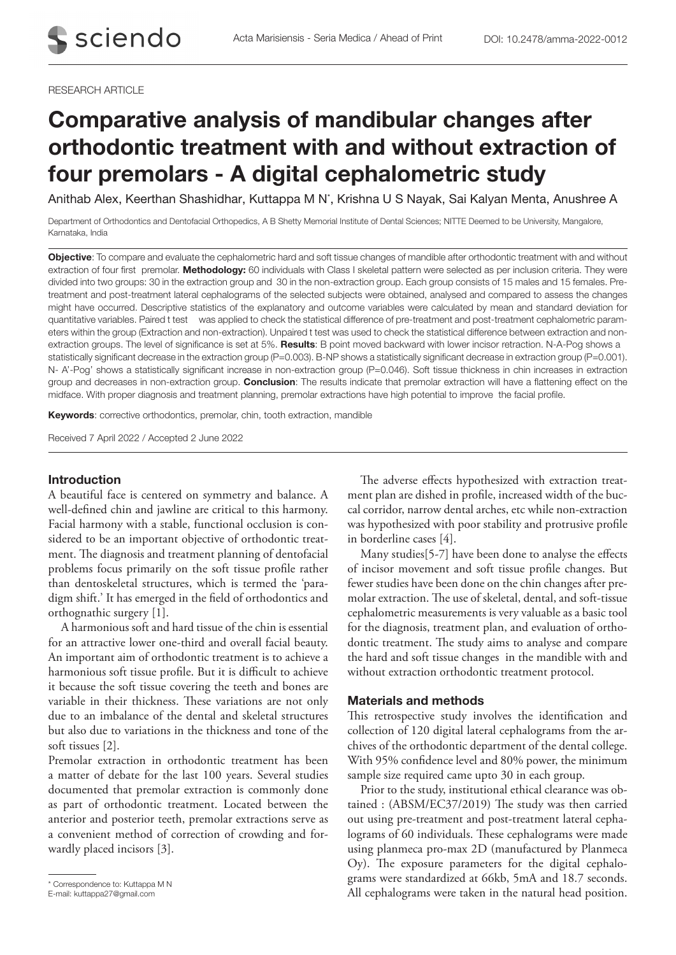#### RESEARCH ARTICLE

# Comparative analysis of mandibular changes after orthodontic treatment with and without extraction of four premolars - A digital cephalometric study

Anithab Alex, Keerthan Shashidhar, Kuttappa M N\* , Krishna U S Nayak, Sai Kalyan Menta, Anushree A

Department of Orthodontics and Dentofacial Orthopedics, A B Shetty Memorial Institute of Dental Sciences; NITTE Deemed to be University, Mangalore, Karnataka, India

Objective: To compare and evaluate the cephalometric hard and soft tissue changes of mandible after orthodontic treatment with and without extraction of four first premolar. Methodology: 60 individuals with Class I skeletal pattern were selected as per inclusion criteria. They were divided into two groups: 30 in the extraction group and 30 in the non-extraction group. Each group consists of 15 males and 15 females. Pretreatment and post-treatment lateral cephalograms of the selected subjects were obtained, analysed and compared to assess the changes might have occurred. Descriptive statistics of the explanatory and outcome variables were calculated by mean and standard deviation for quantitative variables. Paired t test was applied to check the statistical difference of pre-treatment and post-treatment cephalometric parameters within the group (Extraction and non-extraction). Unpaired t test was used to check the statistical difference between extraction and nonextraction groups. The level of significance is set at 5%. Results: B point moved backward with lower incisor retraction. N-A-Pog shows a statistically significant decrease in the extraction group (P=0.003). B-NP shows a statistically significant decrease in extraction group (P=0.001). N- A'-Pog' shows a statistically significant increase in non-extraction group (P=0.046). Soft tissue thickness in chin increases in extraction group and decreases in non-extraction group. Conclusion: The results indicate that premolar extraction will have a flattening effect on the midface. With proper diagnosis and treatment planning, premolar extractions have high potential to improve the facial profile.

Keywords: corrective orthodontics, premolar, chin, tooth extraction, mandible

Received 7 April 2022 / Accepted 2 June 2022

## Introduction

A beautiful face is centered on symmetry and balance. A well-defined chin and jawline are critical to this harmony. Facial harmony with a stable, functional occlusion is considered to be an important objective of orthodontic treatment. The diagnosis and treatment planning of dentofacial problems focus primarily on the soft tissue profile rather than dentoskeletal structures, which is termed the 'paradigm shift.' It has emerged in the field of orthodontics and orthognathic surgery [1].

A harmonious soft and hard tissue of the chin is essential for an attractive lower one-third and overall facial beauty. An important aim of orthodontic treatment is to achieve a harmonious soft tissue profile. But it is difficult to achieve it because the soft tissue covering the teeth and bones are variable in their thickness. These variations are not only due to an imbalance of the dental and skeletal structures but also due to variations in the thickness and tone of the soft tissues [2].

Premolar extraction in orthodontic treatment has been a matter of debate for the last 100 years. Several studies documented that premolar extraction is commonly done as part of orthodontic treatment. Located between the anterior and posterior teeth, premolar extractions serve as a convenient method of correction of crowding and forwardly placed incisors [3].

The adverse effects hypothesized with extraction treatment plan are dished in profile, increased width of the buccal corridor, narrow dental arches, etc while non-extraction was hypothesized with poor stability and protrusive profile in borderline cases [4].

Many studies[5-7] have been done to analyse the effects of incisor movement and soft tissue profile changes. But fewer studies have been done on the chin changes after premolar extraction. The use of skeletal, dental, and soft-tissue cephalometric measurements is very valuable as a basic tool for the diagnosis, treatment plan, and evaluation of orthodontic treatment. The study aims to analyse and compare the hard and soft tissue changes in the mandible with and without extraction orthodontic treatment protocol.

## Materials and methods

This retrospective study involves the identification and collection of 120 digital lateral cephalograms from the archives of the orthodontic department of the dental college. With 95% confidence level and 80% power, the minimum sample size required came upto 30 in each group.

Prior to the study, institutional ethical clearance was obtained : (ABSM/EC37/2019) The study was then carried out using pre-treatment and post-treatment lateral cephalograms of 60 individuals. These cephalograms were made using planmeca pro-max 2D (manufactured by Planmeca Oy). The exposure parameters for the digital cephalograms were standardized at 66kb, 5mA and 18.7 seconds. All cephalograms were taken in the natural head position. \* Correspondence to: Kuttappa M N

E-mail: kuttappa27@gmail.com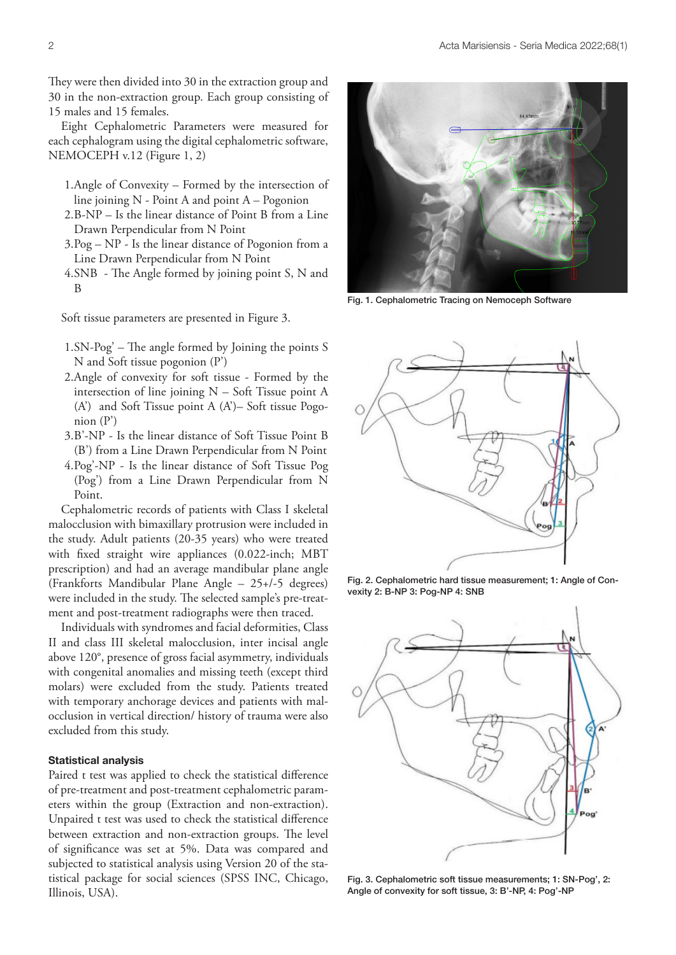They were then divided into 30 in the extraction group and 30 in the non-extraction group. Each group consisting of 15 males and 15 females.

Eight Cephalometric Parameters were measured for each cephalogram using the digital cephalometric software, NEMOCEPH v.12 (Figure 1, 2)

- 1.Angle of Convexity Formed by the intersection of line joining N - Point A and point A – Pogonion
- 2.B-NP Is the linear distance of Point B from a Line Drawn Perpendicular from N Point
- 3.Pog NP Is the linear distance of Pogonion from a Line Drawn Perpendicular from N Point
- 4.SNB The Angle formed by joining point S, N and B

Soft tissue parameters are presented in Figure 3.

- 1.SN-Pog' The angle formed by Joining the points S N and Soft tissue pogonion (P')
- 2.Angle of convexity for soft tissue Formed by the intersection of line joining  $N -$  Soft Tissue point A (A') and Soft Tissue point A (A')– Soft tissue Pogonion (P')
- 3.B'-NP Is the linear distance of Soft Tissue Point B (B') from a Line Drawn Perpendicular from N Point
- 4.Pog'-NP Is the linear distance of Soft Tissue Pog (Pog') from a Line Drawn Perpendicular from N Point.

Cephalometric records of patients with Class I skeletal malocclusion with bimaxillary protrusion were included in the study. Adult patients (20-35 years) who were treated with fixed straight wire appliances (0.022-inch; MBT prescription) and had an average mandibular plane angle (Frankforts Mandibular Plane Angle – 25+/-5 degrees) were included in the study. The selected sample's pre-treatment and post-treatment radiographs were then traced.

Individuals with syndromes and facial deformities, Class II and class III skeletal malocclusion, inter incisal angle above 120°, presence of gross facial asymmetry, individuals with congenital anomalies and missing teeth (except third molars) were excluded from the study. Patients treated with temporary anchorage devices and patients with malocclusion in vertical direction/ history of trauma were also excluded from this study.

#### Statistical analysis

Paired t test was applied to check the statistical difference of pre-treatment and post-treatment cephalometric parameters within the group (Extraction and non-extraction). Unpaired t test was used to check the statistical difference between extraction and non-extraction groups. The level of significance was set at 5%. Data was compared and subjected to statistical analysis using Version 20 of the statistical package for social sciences (SPSS INC, Chicago, Illinois, USA).



Fig. 1. Cephalometric Tracing on Nemoceph Software



Fig. 2. Cephalometric hard tissue measurement; 1: Angle of Convexity 2: B-NP 3: Pog-NP 4: SNB



Fig. 3. Cephalometric soft tissue measurements; 1: SN-Pog', 2: Angle of convexity for soft tissue, 3: B'-NP, 4: Pog'-NP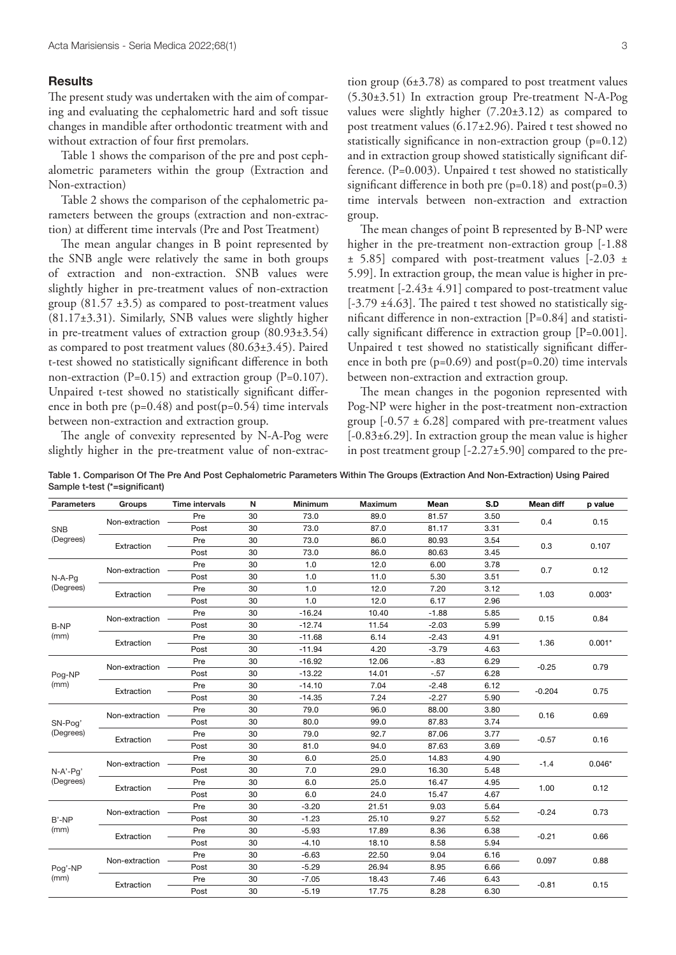## **Results**

The present study was undertaken with the aim of comparing and evaluating the cephalometric hard and soft tissue changes in mandible after orthodontic treatment with and without extraction of four first premolars.

Table 1 shows the comparison of the pre and post cephalometric parameters within the group (Extraction and Non-extraction)

Table 2 shows the comparison of the cephalometric parameters between the groups (extraction and non-extraction) at different time intervals (Pre and Post Treatment)

The mean angular changes in B point represented by the SNB angle were relatively the same in both groups of extraction and non-extraction. SNB values were slightly higher in pre-treatment values of non-extraction group (81.57  $\pm$ 3.5) as compared to post-treatment values (81.17±3.31). Similarly, SNB values were slightly higher in pre-treatment values of extraction group (80.93±3.54) as compared to post treatment values (80.63±3.45). Paired t-test showed no statistically significant difference in both non-extraction (P=0.15) and extraction group (P=0.107). Unpaired t-test showed no statistically significant difference in both pre  $(p=0.48)$  and  $post(p=0.54)$  time intervals between non-extraction and extraction group.

The angle of convexity represented by N-A-Pog were slightly higher in the pre-treatment value of non-extrac-

tion group  $(6±3.78)$  as compared to post treatment values (5.30±3.51) In extraction group Pre-treatment N-A-Pog values were slightly higher (7.20±3.12) as compared to post treatment values (6.17±2.96). Paired t test showed no statistically significance in non-extraction group (p=0.12) and in extraction group showed statistically significant difference. (P=0.003). Unpaired t test showed no statistically significant difference in both pre  $(p=0.18)$  and  $post(p=0.3)$ time intervals between non-extraction and extraction group.

The mean changes of point B represented by B-NP were higher in the pre-treatment non-extraction group [-1.88] ± 5.85] compared with post-treatment values [-2.03 ± 5.99]. In extraction group, the mean value is higher in pretreatment [-2.43± 4.91] compared to post-treatment value [-3.79 ±4.63]. The paired t test showed no statistically significant difference in non-extraction [P=0.84] and statistically significant difference in extraction group [P=0.001]. Unpaired t test showed no statistically significant difference in both pre  $(p=0.69)$  and  $post(p=0.20)$  time intervals between non-extraction and extraction group.

The mean changes in the pogonion represented with Pog-NP were higher in the post-treatment non-extraction group  $[-0.57 \pm 6.28]$  compared with pre-treatment values  $[-0.83\pm6.29]$ . In extraction group the mean value is higher in post treatment group [-2.27±5.90] compared to the pre-

Table 1. Comparison Of The Pre And Post Cephalometric Parameters Within The Groups (Extraction And Non-Extraction) Using Paired Sample t-test (\*=significant)

| <b>Parameters</b>     | <b>Groups</b>  | <b>Time intervals</b> | N  | <b>Minimum</b> | <b>Maximum</b> | Mean    | S.D  | <b>Mean diff</b> | p value  |
|-----------------------|----------------|-----------------------|----|----------------|----------------|---------|------|------------------|----------|
| SNB<br>(Degrees)      | Non-extraction | Pre                   | 30 | 73.0           | 89.0           | 81.57   | 3.50 | 0.4              | 0.15     |
|                       |                | Post                  | 30 | 73.0           | 87.0           | 81.17   | 3.31 |                  |          |
|                       | Extraction     | Pre                   | 30 | 73.0           | 86.0           | 80.93   | 3.54 | 0.3              | 0.107    |
|                       |                | Post                  | 30 | 73.0           | 86.0           | 80.63   | 3.45 |                  |          |
| N-A-Pq<br>(Degrees)   | Non-extraction | Pre                   | 30 | 1.0            | 12.0           | 6.00    | 3.78 | 0.7              | 0.12     |
|                       |                | Post                  | 30 | 1.0            | 11.0           | 5.30    | 3.51 |                  |          |
|                       | Extraction     | Pre                   | 30 | 1.0            | 12.0           | 7.20    | 3.12 | 1.03             | $0.003*$ |
|                       |                | Post                  | 30 | 1.0            | 12.0           | 6.17    | 2.96 |                  |          |
| B-NP<br>(mm)          | Non-extraction | Pre                   | 30 | $-16.24$       | 10.40          | $-1.88$ | 5.85 | 0.15             | 0.84     |
|                       |                | Post                  | 30 | $-12.74$       | 11.54          | $-2.03$ | 5.99 |                  |          |
|                       | Extraction     | Pre                   | 30 | $-11.68$       | 6.14           | $-2.43$ | 4.91 | 1.36             | $0.001*$ |
|                       |                | Post                  | 30 | $-11.94$       | 4.20           | $-3.79$ | 4.63 |                  |          |
| Pog-NP<br>(mm)        | Non-extraction | Pre                   | 30 | $-16.92$       | 12.06          | $-83$   | 6.29 | $-0.25$          | 0.79     |
|                       |                | Post                  | 30 | $-13.22$       | 14.01          | $-57$   | 6.28 |                  |          |
|                       | Extraction     | Pre                   | 30 | $-14.10$       | 7.04           | $-2.48$ | 6.12 | $-0.204$         | 0.75     |
|                       |                | Post                  | 30 | $-14.35$       | 7.24           | $-2.27$ | 5.90 |                  |          |
| SN-Pog'<br>(Degrees)  | Non-extraction | Pre                   | 30 | 79.0           | 96.0           | 88.00   | 3.80 | 0.16             | 0.69     |
|                       |                | Post                  | 30 | 80.0           | 99.0           | 87.83   | 3.74 |                  |          |
|                       | Extraction     | Pre                   | 30 | 79.0           | 92.7           | 87.06   | 3.77 | $-0.57$          | 0.16     |
|                       |                | Post                  | 30 | 81.0           | 94.0           | 87.63   | 3.69 |                  |          |
| N-A'-Pq'<br>(Degrees) | Non-extraction | Pre                   | 30 | 6.0            | 25.0           | 14.83   | 4.90 | $-1.4$           | $0.046*$ |
|                       |                | Post                  | 30 | 7.0            | 29.0           | 16.30   | 5.48 |                  |          |
|                       | Extraction     | Pre                   | 30 | 6.0            | 25.0           | 16.47   | 4.95 | 1.00             | 0.12     |
|                       |                | Post                  | 30 | 6.0            | 24.0           | 15.47   | 4.67 |                  |          |
| B'-NP<br>(mm)         | Non-extraction | Pre                   | 30 | $-3.20$        | 21.51          | 9.03    | 5.64 | $-0.24$          | 0.73     |
|                       |                | Post                  | 30 | $-1.23$        | 25.10          | 9.27    | 5.52 |                  |          |
|                       | Extraction     | Pre                   | 30 | $-5.93$        | 17.89          | 8.36    | 6.38 | $-0.21$          | 0.66     |
|                       |                | Post                  | 30 | $-4.10$        | 18.10          | 8.58    | 5.94 |                  |          |
| Pog'-NP<br>(mm)       | Non-extraction | Pre                   | 30 | $-6.63$        | 22.50          | 9.04    | 6.16 |                  | 0.88     |
|                       |                | Post                  | 30 | $-5.29$        | 26.94          | 8.95    | 6.66 | 0.097            |          |
|                       | Extraction     | Pre                   | 30 | $-7.05$        | 18.43          | 7.46    | 6.43 | $-0.81$          | 0.15     |
|                       |                | Post                  | 30 | $-5.19$        | 17.75          | 8.28    | 6.30 |                  |          |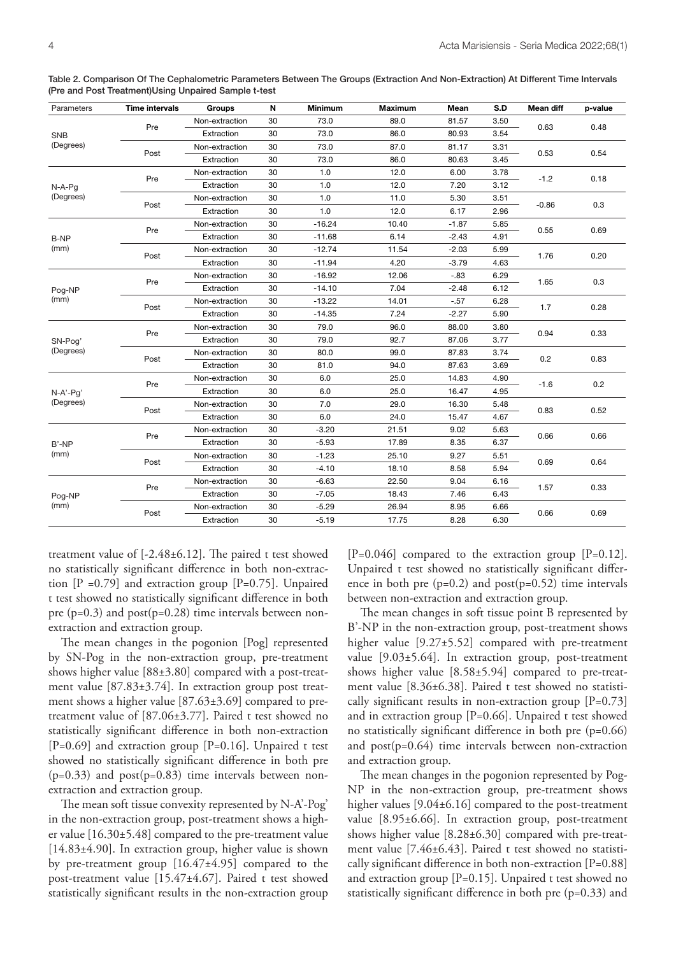| Parameters          | <b>Time intervals</b> | <b>Groups</b>  | N  | <b>Minimum</b> | <b>Maximum</b> | Mean    | S.D  | <b>Mean diff</b> | p-value |
|---------------------|-----------------------|----------------|----|----------------|----------------|---------|------|------------------|---------|
| SNB<br>(Degrees)    | Pre                   | Non-extraction | 30 | 73.0           | 89.0           | 81.57   | 3.50 | 0.63             | 0.48    |
|                     |                       | Extraction     | 30 | 73.0           | 86.0           | 80.93   | 3.54 |                  |         |
|                     | Post                  | Non-extraction | 30 | 73.0           | 87.0           | 81.17   | 3.31 | 0.53             | 0.54    |
|                     |                       | Extraction     | 30 | 73.0           | 86.0           | 80.63   | 3.45 |                  |         |
| N-A-Pq<br>(Degrees) | Pre                   | Non-extraction | 30 | 1.0            | 12.0           | 6.00    | 3.78 | $-1.2$           | 0.18    |
|                     |                       | Extraction     | 30 | 1.0            | 12.0           | 7.20    | 3.12 |                  |         |
|                     | Post                  | Non-extraction | 30 | 1.0            | 11.0           | 5.30    | 3.51 | $-0.86$          | 0.3     |
|                     |                       | Extraction     | 30 | 1.0            | 12.0           | 6.17    | 2.96 |                  |         |
|                     | Pre                   | Non-extraction | 30 | $-16.24$       | 10.40          | $-1.87$ | 5.85 | 0.55             | 0.69    |
| B-NP                |                       | Extraction     | 30 | $-11.68$       | 6.14           | $-2.43$ | 4.91 |                  |         |
| (mm)                | Post                  | Non-extraction | 30 | $-12.74$       | 11.54          | $-2.03$ | 5.99 | 1.76             | 0.20    |
|                     |                       | Extraction     | 30 | $-11.94$       | 4.20           | $-3.79$ | 4.63 |                  |         |
|                     | Pre                   | Non-extraction | 30 | $-16.92$       | 12.06          | $-0.83$ | 6.29 | 1.65             | 0.3     |
| Pog-NP              |                       | Extraction     | 30 | $-14.10$       | 7.04           | $-2.48$ | 6.12 |                  |         |
| (mm)                | Post                  | Non-extraction | 30 | $-13.22$       | 14.01          | $-57$   | 6.28 | 1.7              | 0.28    |
|                     |                       | Extraction     | 30 | $-14.35$       | 7.24           | $-2.27$ | 5.90 |                  |         |
|                     | Pre                   | Non-extraction | 30 | 79.0           | 96.0           | 88.00   | 3.80 | 0.94             | 0.33    |
| SN-Pog'             |                       | Extraction     | 30 | 79.0           | 92.7           | 87.06   | 3.77 |                  |         |
| (Degrees)           | Post                  | Non-extraction | 30 | 80.0           | 99.0           | 87.83   | 3.74 | 0.2              | 0.83    |
|                     |                       | Extraction     | 30 | 81.0           | 94.0           | 87.63   | 3.69 |                  |         |
|                     | Pre                   | Non-extraction | 30 | 6.0            | 25.0           | 14.83   | 4.90 | $-1.6$           | 0.2     |
| N-A'-Pq'            |                       | Extraction     | 30 | 6.0            | 25.0           | 16.47   | 4.95 |                  |         |
| (Degrees)           | Post                  | Non-extraction | 30 | 7.0            | 29.0           | 16.30   | 5.48 | 0.83             | 0.52    |
|                     |                       | Extraction     | 30 | 6.0            | 24.0           | 15.47   | 4.67 |                  |         |
| $B'$ -NP            | Pre                   | Non-extraction | 30 | $-3.20$        | 21.51          | 9.02    | 5.63 | 0.66             | 0.66    |
|                     |                       | Extraction     | 30 | $-5.93$        | 17.89          | 8.35    | 6.37 |                  |         |
| (mm)                | Post                  | Non-extraction | 30 | $-1.23$        | 25.10          | 9.27    | 5.51 | 0.69             | 0.64    |
|                     |                       | Extraction     | 30 | $-4.10$        | 18.10          | 8.58    | 5.94 |                  |         |
| Pog-NP              | Pre                   | Non-extraction | 30 | $-6.63$        | 22.50          | 9.04    | 6.16 | 1.57             | 0.33    |
|                     |                       | Extraction     | 30 | $-7.05$        | 18.43          | 7.46    | 6.43 |                  |         |
| (mm)                | Post                  | Non-extraction | 30 | $-5.29$        | 26.94          | 8.95    | 6.66 | 0.66             | 0.69    |
|                     |                       | Extraction     | 30 | $-5.19$        | 17.75          | 8.28    | 6.30 |                  |         |

Table 2. Comparison Of The Cephalometric Parameters Between The Groups (Extraction And Non-Extraction) At Different Time Intervals (Pre and Post Treatment)Using Unpaired Sample t-test

treatment value of [-2.48±6.12]. The paired t test showed no statistically significant difference in both non-extraction  $[P = 0.79]$  and extraction group  $[P = 0.75]$ . Unpaired t test showed no statistically significant difference in both pre  $(p=0.3)$  and  $post(p=0.28)$  time intervals between nonextraction and extraction group.

The mean changes in the pogonion [Pog] represented by SN-Pog in the non-extraction group, pre-treatment shows higher value [88±3.80] compared with a post-treatment value [87.83±3.74]. In extraction group post treatment shows a higher value [87.63±3.69] compared to pretreatment value of [87.06±3.77]. Paired t test showed no statistically significant difference in both non-extraction [P=0.69] and extraction group [P=0.16]. Unpaired t test showed no statistically significant difference in both pre  $(p=0.33)$  and  $post(p=0.83)$  time intervals between nonextraction and extraction group.

The mean soft tissue convexity represented by N-A'-Pog' in the non-extraction group, post-treatment shows a higher value [16.30±5.48] compared to the pre-treatment value [14.83±4.90]. In extraction group, higher value is shown by pre-treatment group [16.47±4.95] compared to the post-treatment value [15.47±4.67]. Paired t test showed statistically significant results in the non-extraction group  $[P=0.046]$  compared to the extraction group  $[P=0.12]$ . Unpaired t test showed no statistically significant difference in both pre  $(p=0.2)$  and  $post(p=0.52)$  time intervals between non-extraction and extraction group.

The mean changes in soft tissue point B represented by B'-NP in the non-extraction group, post-treatment shows higher value [9.27±5.52] compared with pre-treatment value [9.03±5.64]. In extraction group, post-treatment shows higher value [8.58±5.94] compared to pre-treatment value [8.36±6.38]. Paired t test showed no statistically significant results in non-extraction group  $[P=0.73]$ and in extraction group [P=0.66]. Unpaired t test showed no statistically significant difference in both pre (p=0.66) and post(p=0.64) time intervals between non-extraction and extraction group.

The mean changes in the pogonion represented by Pog-NP in the non-extraction group, pre-treatment shows higher values [9.04±6.16] compared to the post-treatment value [8.95±6.66]. In extraction group, post-treatment shows higher value [8.28±6.30] compared with pre-treatment value [7.46±6.43]. Paired t test showed no statistically significant difference in both non-extraction [P=0.88] and extraction group  $[P=0.15]$ . Unpaired t test showed no statistically significant difference in both pre (p=0.33) and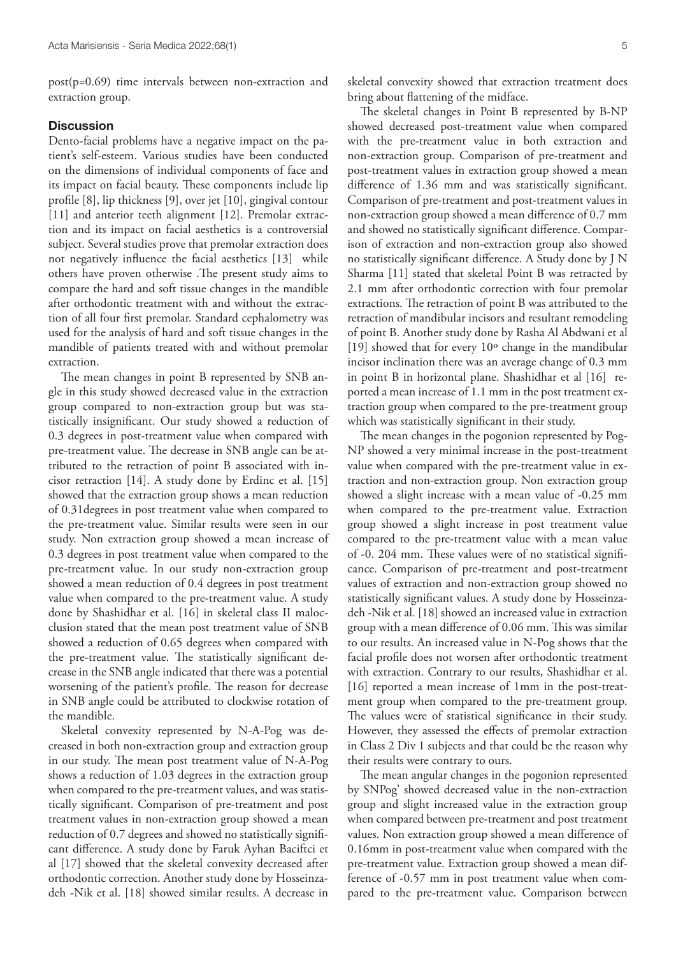post(p=0.69) time intervals between non-extraction and extraction group.

## **Discussion**

Dento-facial problems have a negative impact on the patient's self-esteem. Various studies have been conducted on the dimensions of individual components of face and its impact on facial beauty. These components include lip profile [8], lip thickness [9], over jet [10], gingival contour [11] and anterior teeth alignment [12]. Premolar extraction and its impact on facial aesthetics is a controversial subject. Several studies prove that premolar extraction does not negatively influence the facial aesthetics [13] while others have proven otherwise .The present study aims to compare the hard and soft tissue changes in the mandible after orthodontic treatment with and without the extraction of all four first premolar. Standard cephalometry was used for the analysis of hard and soft tissue changes in the mandible of patients treated with and without premolar extraction.

The mean changes in point B represented by SNB angle in this study showed decreased value in the extraction group compared to non-extraction group but was statistically insignificant. Our study showed a reduction of 0.3 degrees in post-treatment value when compared with pre-treatment value. The decrease in SNB angle can be attributed to the retraction of point B associated with incisor retraction [14]. A study done by Erdinc et al. [15] showed that the extraction group shows a mean reduction of 0.31degrees in post treatment value when compared to the pre-treatment value. Similar results were seen in our study. Non extraction group showed a mean increase of 0.3 degrees in post treatment value when compared to the pre-treatment value. In our study non-extraction group showed a mean reduction of 0.4 degrees in post treatment value when compared to the pre-treatment value. A study done by Shashidhar et al. [16] in skeletal class II malocclusion stated that the mean post treatment value of SNB showed a reduction of 0.65 degrees when compared with the pre-treatment value. The statistically significant decrease in the SNB angle indicated that there was a potential worsening of the patient's profile. The reason for decrease in SNB angle could be attributed to clockwise rotation of the mandible.

Skeletal convexity represented by N-A-Pog was decreased in both non-extraction group and extraction group in our study. The mean post treatment value of N-A-Pog shows a reduction of 1.03 degrees in the extraction group when compared to the pre-treatment values, and was statistically significant. Comparison of pre-treatment and post treatment values in non-extraction group showed a mean reduction of 0.7 degrees and showed no statistically significant difference. A study done by Faruk Ayhan Baciftci et al [17] showed that the skeletal convexity decreased after orthodontic correction. Another study done by Hosseinzadeh -Nik et al. [18] showed similar results. A decrease in

skeletal convexity showed that extraction treatment does bring about flattening of the midface.

The skeletal changes in Point B represented by B-NP showed decreased post-treatment value when compared with the pre-treatment value in both extraction and non-extraction group. Comparison of pre-treatment and post-treatment values in extraction group showed a mean difference of 1.36 mm and was statistically significant. Comparison of pre-treatment and post-treatment values in non-extraction group showed a mean difference of 0.7 mm and showed no statistically significant difference. Comparison of extraction and non-extraction group also showed no statistically significant difference. A Study done by J N Sharma [11] stated that skeletal Point B was retracted by 2.1 mm after orthodontic correction with four premolar extractions. The retraction of point B was attributed to the retraction of mandibular incisors and resultant remodeling of point B. Another study done by Rasha Al Abdwani et al [19] showed that for every 10º change in the mandibular incisor inclination there was an average change of 0.3 mm in point B in horizontal plane. Shashidhar et al [16] reported a mean increase of 1.1 mm in the post treatment extraction group when compared to the pre-treatment group which was statistically significant in their study.

The mean changes in the pogonion represented by Pog-NP showed a very minimal increase in the post-treatment value when compared with the pre-treatment value in extraction and non-extraction group. Non extraction group showed a slight increase with a mean value of -0.25 mm when compared to the pre-treatment value. Extraction group showed a slight increase in post treatment value compared to the pre-treatment value with a mean value of -0. 204 mm. These values were of no statistical significance. Comparison of pre-treatment and post-treatment values of extraction and non-extraction group showed no statistically significant values. A study done by Hosseinzadeh -Nik et al. [18] showed an increased value in extraction group with a mean difference of 0.06 mm. This was similar to our results. An increased value in N-Pog shows that the facial profile does not worsen after orthodontic treatment with extraction. Contrary to our results, Shashidhar et al. [16] reported a mean increase of 1mm in the post-treatment group when compared to the pre-treatment group. The values were of statistical significance in their study. However, they assessed the effects of premolar extraction in Class 2 Div 1 subjects and that could be the reason why their results were contrary to ours.

The mean angular changes in the pogonion represented by SNPog' showed decreased value in the non-extraction group and slight increased value in the extraction group when compared between pre-treatment and post treatment values. Non extraction group showed a mean difference of 0.16mm in post-treatment value when compared with the pre-treatment value. Extraction group showed a mean difference of -0.57 mm in post treatment value when compared to the pre-treatment value. Comparison between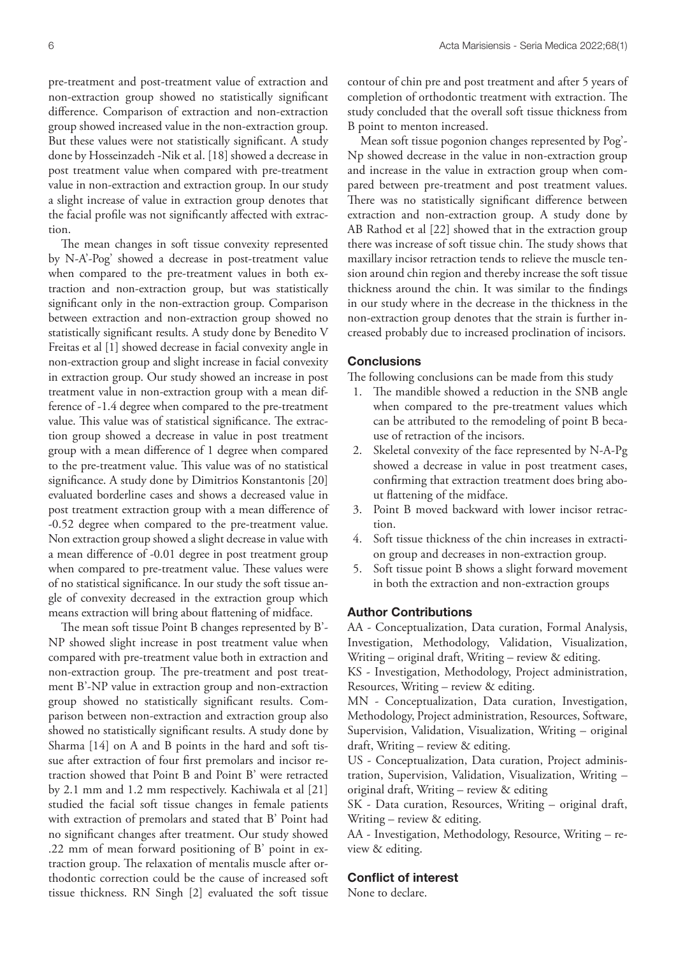pre-treatment and post-treatment value of extraction and non-extraction group showed no statistically significant difference. Comparison of extraction and non-extraction group showed increased value in the non-extraction group. But these values were not statistically significant. A study done by Hosseinzadeh -Nik et al. [18] showed a decrease in post treatment value when compared with pre-treatment value in non-extraction and extraction group. In our study a slight increase of value in extraction group denotes that the facial profile was not significantly affected with extraction.

The mean changes in soft tissue convexity represented by N-A'-Pog' showed a decrease in post-treatment value when compared to the pre-treatment values in both extraction and non-extraction group, but was statistically significant only in the non-extraction group. Comparison between extraction and non-extraction group showed no statistically significant results. A study done by Benedito V Freitas et al [1] showed decrease in facial convexity angle in non-extraction group and slight increase in facial convexity in extraction group. Our study showed an increase in post treatment value in non-extraction group with a mean difference of -1.4 degree when compared to the pre-treatment value. This value was of statistical significance. The extraction group showed a decrease in value in post treatment group with a mean difference of 1 degree when compared to the pre-treatment value. This value was of no statistical significance. A study done by Dimitrios Konstantonis [20] evaluated borderline cases and shows a decreased value in post treatment extraction group with a mean difference of -0.52 degree when compared to the pre-treatment value. Non extraction group showed a slight decrease in value with a mean difference of -0.01 degree in post treatment group when compared to pre-treatment value. These values were of no statistical significance. In our study the soft tissue angle of convexity decreased in the extraction group which means extraction will bring about flattening of midface.

The mean soft tissue Point B changes represented by B'- NP showed slight increase in post treatment value when compared with pre-treatment value both in extraction and non-extraction group. The pre-treatment and post treatment B'-NP value in extraction group and non-extraction group showed no statistically significant results. Comparison between non-extraction and extraction group also showed no statistically significant results. A study done by Sharma [14] on A and B points in the hard and soft tissue after extraction of four first premolars and incisor retraction showed that Point B and Point B' were retracted by 2.1 mm and 1.2 mm respectively. Kachiwala et al [21] studied the facial soft tissue changes in female patients with extraction of premolars and stated that B' Point had no significant changes after treatment. Our study showed .22 mm of mean forward positioning of B' point in extraction group. The relaxation of mentalis muscle after orthodontic correction could be the cause of increased soft tissue thickness. RN Singh [2] evaluated the soft tissue

contour of chin pre and post treatment and after 5 years of completion of orthodontic treatment with extraction. The study concluded that the overall soft tissue thickness from B point to menton increased.

Mean soft tissue pogonion changes represented by Pog'- Np showed decrease in the value in non-extraction group and increase in the value in extraction group when compared between pre-treatment and post treatment values. There was no statistically significant difference between extraction and non-extraction group. A study done by AB Rathod et al [22] showed that in the extraction group there was increase of soft tissue chin. The study shows that maxillary incisor retraction tends to relieve the muscle tension around chin region and thereby increase the soft tissue thickness around the chin. It was similar to the findings in our study where in the decrease in the thickness in the non-extraction group denotes that the strain is further increased probably due to increased proclination of incisors.

#### **Conclusions**

The following conclusions can be made from this study

- 1. The mandible showed a reduction in the SNB angle when compared to the pre-treatment values which can be attributed to the remodeling of point B because of retraction of the incisors.
- 2. Skeletal convexity of the face represented by N-A-Pg showed a decrease in value in post treatment cases, confirming that extraction treatment does bring about flattening of the midface.
- 3. Point B moved backward with lower incisor retraction.
- 4. Soft tissue thickness of the chin increases in extraction group and decreases in non-extraction group.
- 5. Soft tissue point B shows a slight forward movement in both the extraction and non-extraction groups

#### Author Contributions

AA - Conceptualization, Data curation, Formal Analysis, Investigation, Methodology, Validation, Visualization, Writing – original draft, Writing – review & editing.

KS - Investigation, Methodology, Project administration, Resources, Writing – review & editing.

MN - Conceptualization, Data curation, Investigation, Methodology, Project administration, Resources, Software, Supervision, Validation, Visualization, Writing – original draft, Writing – review & editing.

US - Conceptualization, Data curation, Project administration, Supervision, Validation, Visualization, Writing – original draft, Writing – review & editing

SK - Data curation, Resources, Writing – original draft, Writing – review & editing.

AA - Investigation, Methodology, Resource, Writing – review & editing.

## Conflict of interest

None to declare.